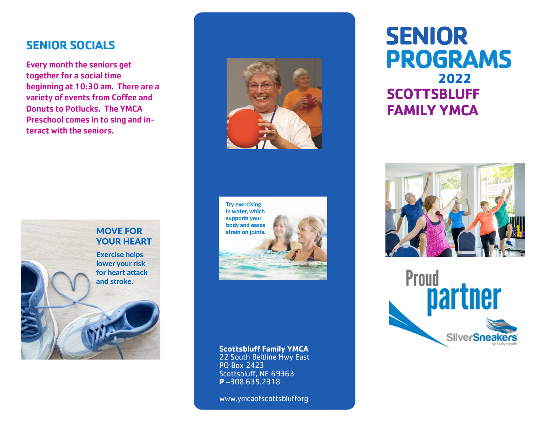## **SENIOR SOCIALS**

Every month the seniors get together for a social time beginning at 10:30 am. There are a variety of events from Coffee and Donuts to Potlucks. The YMCA Preschool comes in to sing and interact with the seniors.







#### **Scottsbluff Family YMCA**

22 South Beltline Hwy East PO Box 2423 Scottsbluff, NE 69363 **P** –308.635.2318

www.ymcaofscottsblufforg

# **SENIOR PROGRAMS 2022 SCOTTSBLUFF FAMILY YMCA**